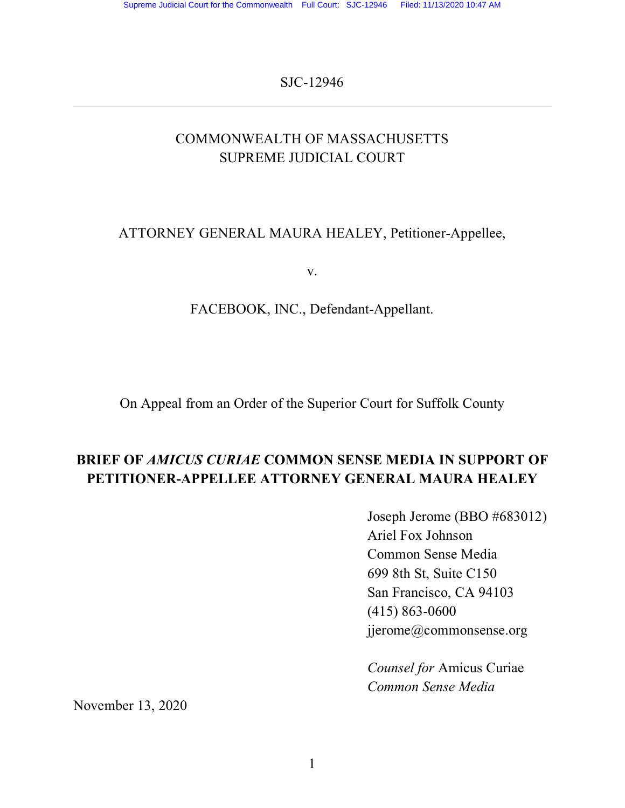SJC-12946

## COMMONWEALTH OF MASSACHUSETTS SUPREME JUDICIAL COURT

## ATTORNEY GENERAL MAURA HEALEY, Petitioner-Appellee,

v.

### FACEBOOK, INC., Defendant-Appellant.

On Appeal from an Order of the Superior Court for Suffolk County

## **BRIEF OF** *AMICUS CURIAE* **COMMON SENSE MEDIA IN SUPPORT OF PETITIONER-APPELLEE ATTORNEY GENERAL MAURA HEALEY**

Joseph Jerome (BBO #683012) Ariel Fox Johnson Common Sense Media 699 8th St, Suite C150 San Francisco, CA 94103 (415) 863-0600 jjerome@commonsense.org

*Counsel for* Amicus Curiae *Common Sense Media*

November 13, 2020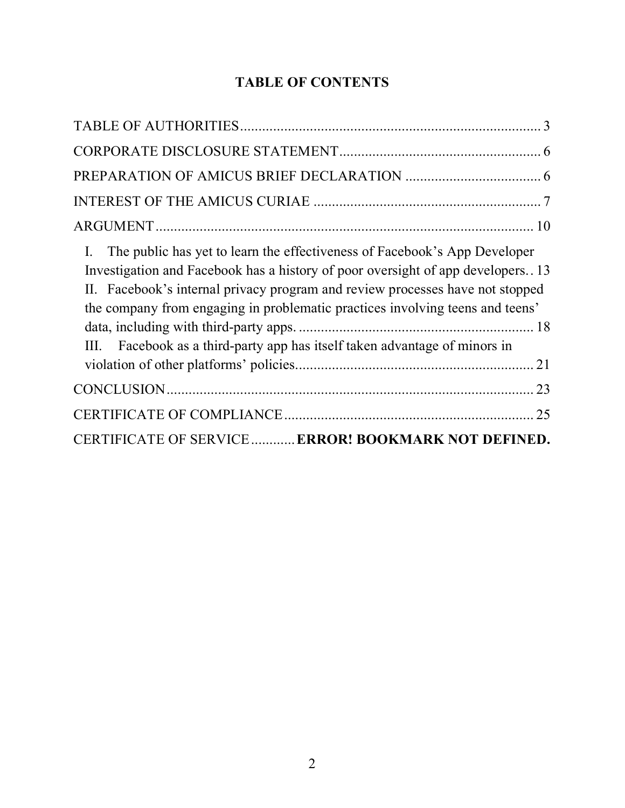## **TABLE OF CONTENTS**

| The public has yet to learn the effectiveness of Facebook's App Developer<br>$\mathbf{I}$ .<br>Investigation and Facebook has a history of poor oversight of app developers. 13<br>II. Facebook's internal privacy program and review processes have not stopped<br>the company from engaging in problematic practices involving teens and teens'<br>III. Facebook as a third-party app has itself taken advantage of minors in |
|---------------------------------------------------------------------------------------------------------------------------------------------------------------------------------------------------------------------------------------------------------------------------------------------------------------------------------------------------------------------------------------------------------------------------------|
|                                                                                                                                                                                                                                                                                                                                                                                                                                 |
| 25                                                                                                                                                                                                                                                                                                                                                                                                                              |
| CERTIFICATE OF SERVICE  ERROR! BOOKMARK NOT DEFINED.                                                                                                                                                                                                                                                                                                                                                                            |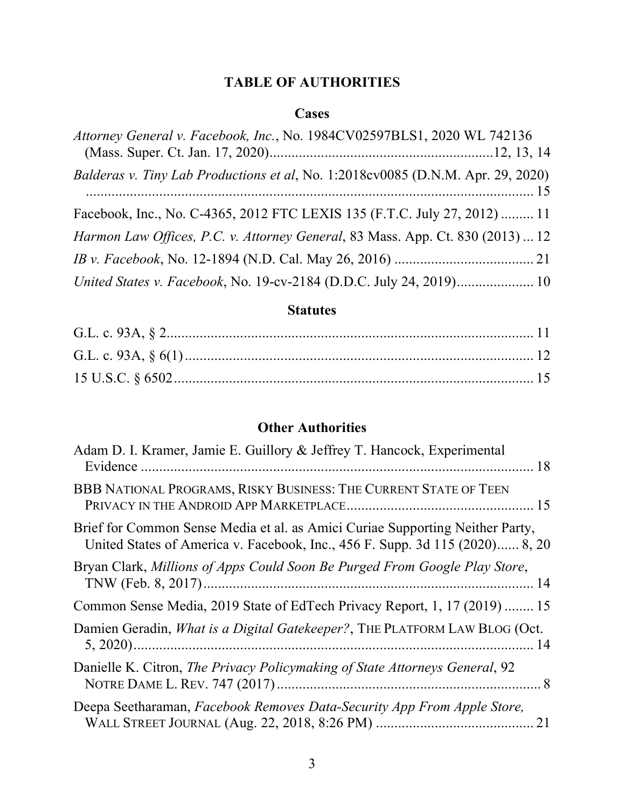## **TABLE OF AUTHORITIES**

#### **Cases**

| Attorney General v. Facebook, Inc., No. 1984CV02597BLS1, 2020 WL 742136         |  |
|---------------------------------------------------------------------------------|--|
| Balderas v. Tiny Lab Productions et al, No. 1:2018cv0085 (D.N.M. Apr. 29, 2020) |  |
| Facebook, Inc., No. C-4365, 2012 FTC LEXIS 135 (F.T.C. July 27, 2012)  11       |  |
| Harmon Law Offices, P.C. v. Attorney General, 83 Mass. App. Ct. 830 (2013)  12  |  |
|                                                                                 |  |
| United States v. Facebook, No. 19-cv-2184 (D.D.C. July 24, 2019) 10             |  |

#### **Statutes**

## **Other Authorities**

| Adam D. I. Kramer, Jamie E. Guillory & Jeffrey T. Hancock, Experimental                                                                                       |    |
|---------------------------------------------------------------------------------------------------------------------------------------------------------------|----|
| BBB NATIONAL PROGRAMS, RISKY BUSINESS: THE CURRENT STATE OF TEEN<br>15                                                                                        |    |
| Brief for Common Sense Media et al. as Amici Curiae Supporting Neither Party,<br>United States of America v. Facebook, Inc., 456 F. Supp. 3d 115 (2020) 8, 20 |    |
| Bryan Clark, Millions of Apps Could Soon Be Purged From Google Play Store,<br>14                                                                              |    |
| Common Sense Media, 2019 State of EdTech Privacy Report, 1, 17 (2019)  15                                                                                     |    |
| Damien Geradin, <i>What is a Digital Gatekeeper?</i> , THE PLATFORM LAW BLOG (Oct.                                                                            |    |
| Danielle K. Citron, <i>The Privacy Policymaking of State Attorneys General</i> , 92                                                                           |    |
| Deepa Seetharaman, Facebook Removes Data-Security App From Apple Store,                                                                                       | 21 |
|                                                                                                                                                               |    |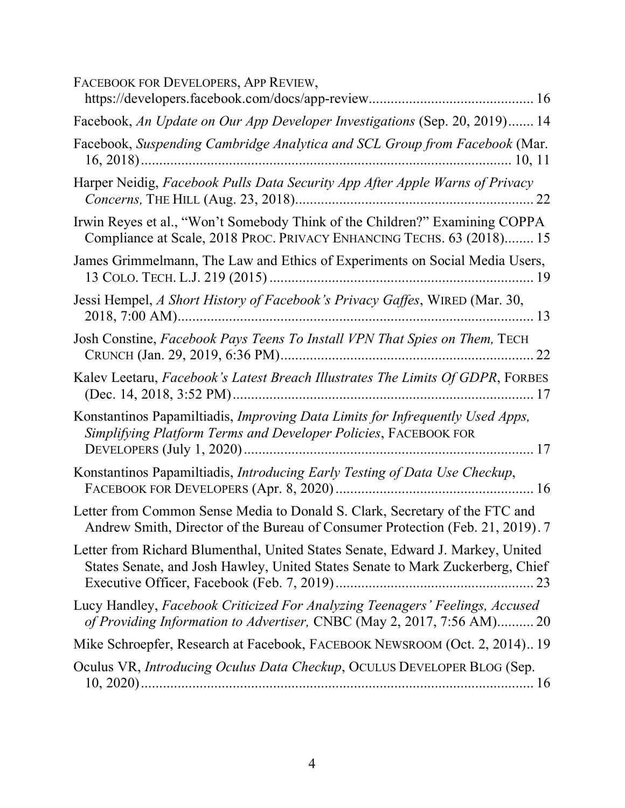| FACEBOOK FOR DEVELOPERS, APP REVIEW,                                                                                                                             |
|------------------------------------------------------------------------------------------------------------------------------------------------------------------|
| Facebook, An Update on Our App Developer Investigations (Sep. 20, 2019) 14                                                                                       |
| Facebook, Suspending Cambridge Analytica and SCL Group from Facebook (Mar.                                                                                       |
| Harper Neidig, Facebook Pulls Data Security App After Apple Warns of Privacy                                                                                     |
| Irwin Reyes et al., "Won't Somebody Think of the Children?" Examining COPPA<br>Compliance at Scale, 2018 PROC. PRIVACY ENHANCING TECHS. 63 (2018) 15             |
| James Grimmelmann, The Law and Ethics of Experiments on Social Media Users,                                                                                      |
| Jessi Hempel, A Short History of Facebook's Privacy Gaffes, WIRED (Mar. 30,                                                                                      |
| Josh Constine, Facebook Pays Teens To Install VPN That Spies on Them, TECH                                                                                       |
| Kalev Leetaru, Facebook's Latest Breach Illustrates The Limits Of GDPR, FORBES                                                                                   |
| Konstantinos Papamiltiadis, Improving Data Limits for Infrequently Used Apps,<br>Simplifying Platform Terms and Developer Policies, FACEBOOK FOR                 |
| Konstantinos Papamiltiadis, Introducing Early Testing of Data Use Checkup,                                                                                       |
| Letter from Common Sense Media to Donald S. Clark, Secretary of the FTC and<br>Andrew Smith, Director of the Bureau of Consumer Protection (Feb. 21, 2019). 7    |
| Letter from Richard Blumenthal, United States Senate, Edward J. Markey, United<br>States Senate, and Josh Hawley, United States Senate to Mark Zuckerberg, Chief |
| Lucy Handley, Facebook Criticized For Analyzing Teenagers' Feelings, Accused<br>of Providing Information to Advertiser, CNBC (May 2, 2017, 7:56 AM) 20           |
| Mike Schroepfer, Research at Facebook, FACEBOOK NEWSROOM (Oct. 2, 2014) 19                                                                                       |
| Oculus VR, Introducing Oculus Data Checkup, OCULUS DEVELOPER BLOG (Sep.                                                                                          |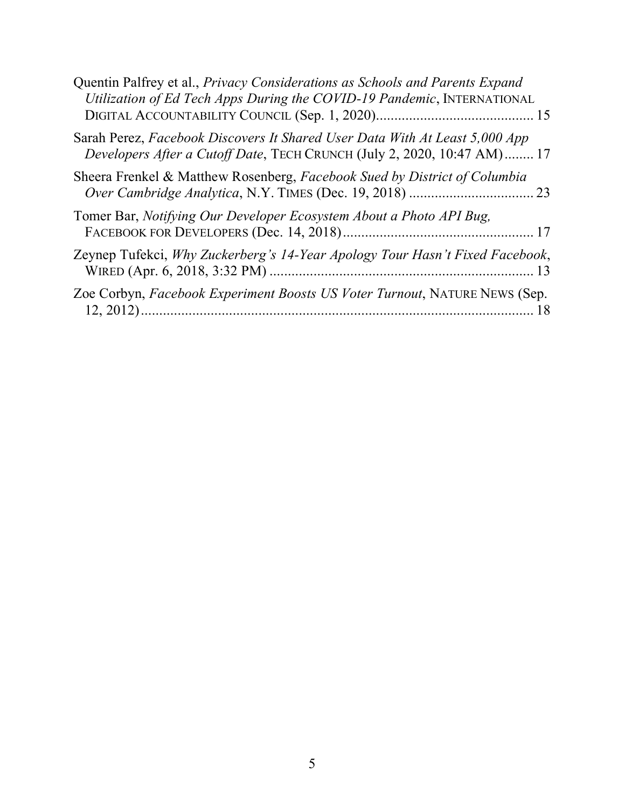| Quentin Palfrey et al., Privacy Considerations as Schools and Parents Expand<br>Utilization of Ed Tech Apps During the COVID-19 Pandemic, INTERNATIONAL |    |
|---------------------------------------------------------------------------------------------------------------------------------------------------------|----|
| Sarah Perez, Facebook Discovers It Shared User Data With At Least 5,000 App<br>Developers After a Cutoff Date, TECH CRUNCH (July 2, 2020, 10:47 AM) 17  |    |
| Sheera Frenkel & Matthew Rosenberg, Facebook Sued by District of Columbia                                                                               |    |
| Tomer Bar, <i>Notifying Our Developer Ecosystem About a Photo API Bug,</i>                                                                              |    |
| Zeynep Tufekci, Why Zuckerberg's 14-Year Apology Tour Hasn't Fixed Facebook,                                                                            |    |
| Zoe Corbyn, Facebook Experiment Boosts US Voter Turnout, NATURE NEWS (Sep.                                                                              | 18 |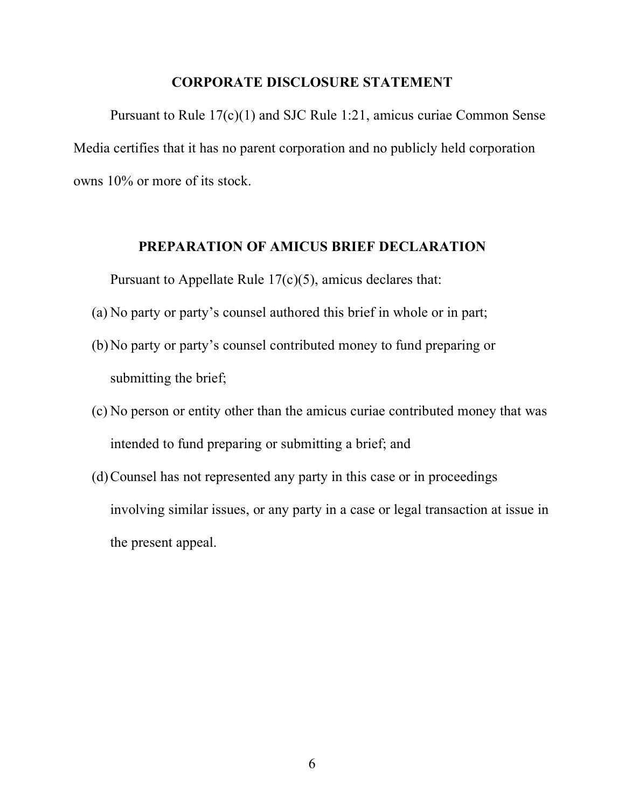#### **CORPORATE DISCLOSURE STATEMENT**

Pursuant to Rule 17(c)(1) and SJC Rule 1:21, amicus curiae Common Sense Media certifies that it has no parent corporation and no publicly held corporation owns 10% or more of its stock.

#### **PREPARATION OF AMICUS BRIEF DECLARATION**

Pursuant to Appellate Rule 17(c)(5), amicus declares that:

- (a) No party or party's counsel authored this brief in whole or in part;
- (b)No party or party's counsel contributed money to fund preparing or submitting the brief;
- (c) No person or entity other than the amicus curiae contributed money that was intended to fund preparing or submitting a brief; and
- (d)Counsel has not represented any party in this case or in proceedings involving similar issues, or any party in a case or legal transaction at issue in the present appeal.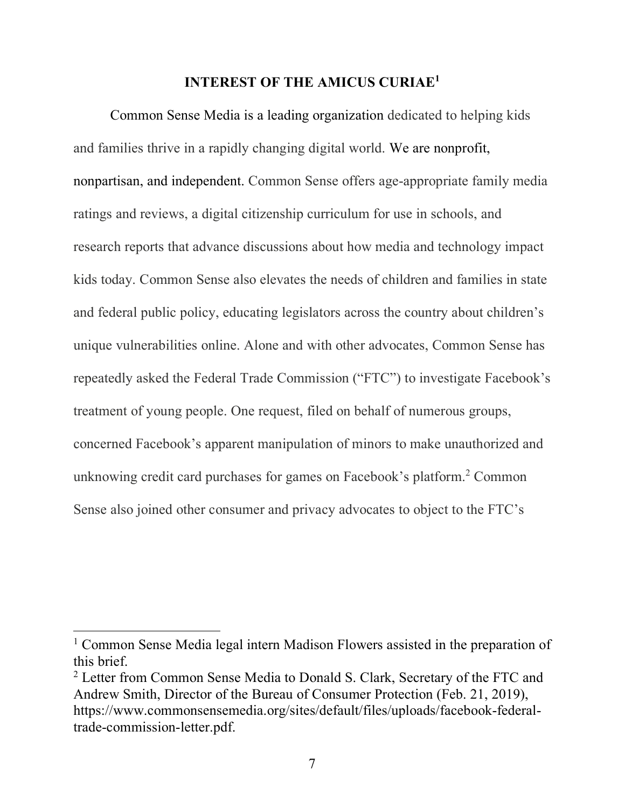#### **INTEREST OF THE AMICUS CURIAE1**

Common Sense Media is a leading organization dedicated to helping kids and families thrive in a rapidly changing digital world. We are nonprofit, nonpartisan, and independent. Common Sense offers age-appropriate family media ratings and reviews, a digital citizenship curriculum for use in schools, and research reports that advance discussions about how media and technology impact kids today. Common Sense also elevates the needs of children and families in state and federal public policy, educating legislators across the country about children's unique vulnerabilities online. Alone and with other advocates, Common Sense has repeatedly asked the Federal Trade Commission ("FTC") to investigate Facebook's treatment of young people. One request, filed on behalf of numerous groups, concerned Facebook's apparent manipulation of minors to make unauthorized and unknowing credit card purchases for games on Facebook's platform.2 Common Sense also joined other consumer and privacy advocates to object to the FTC's

<sup>1</sup> Common Sense Media legal intern Madison Flowers assisted in the preparation of this brief.

<sup>&</sup>lt;sup>2</sup> Letter from Common Sense Media to Donald S. Clark, Secretary of the FTC and Andrew Smith, Director of the Bureau of Consumer Protection (Feb. 21, 2019), https://www.commonsensemedia.org/sites/default/files/uploads/facebook-federaltrade-commission-letter.pdf.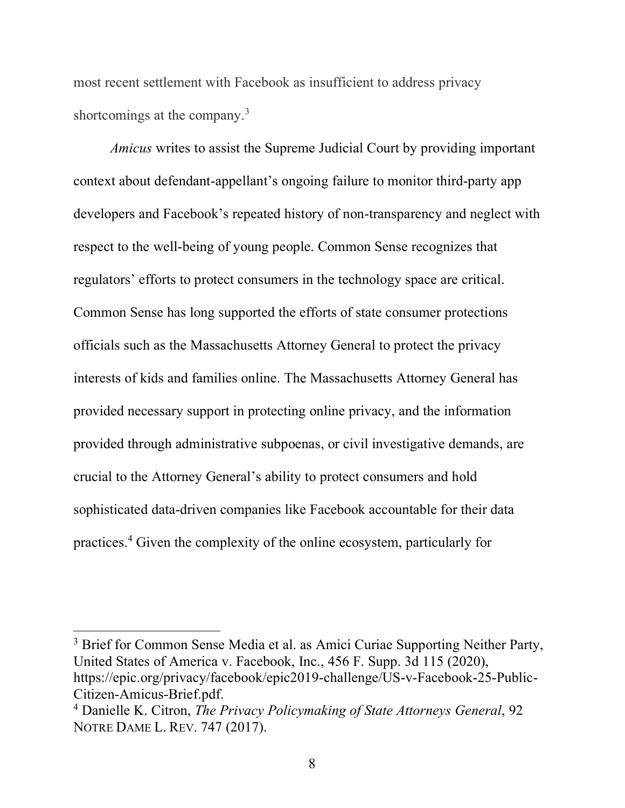most recent settlement with Facebook as insufficient to address privacy shortcomings at the company.<sup>3</sup>

*Amicus* writes to assist the Supreme Judicial Court by providing important context about defendant-appellant's ongoing failure to monitor third-party app developers and Facebook's repeated history of non-transparency and neglect with respect to the well-being of young people. Common Sense recognizes that regulators' efforts to protect consumers in the technology space are critical. Common Sense has long supported the efforts of state consumer protections officials such as the Massachusetts Attorney General to protect the privacy interests of kids and families online. The Massachusetts Attorney General has provided necessary support in protecting online privacy, and the information provided through administrative subpoenas, or civil investigative demands, are crucial to the Attorney General's ability to protect consumers and hold sophisticated data-driven companies like Facebook accountable for their data practices.4 Given the complexity of the online ecosystem, particularly for

<sup>&</sup>lt;sup>3</sup> Brief for Common Sense Media et al. as Amici Curiae Supporting Neither Party, United States of America v. Facebook, Inc., 456 F. Supp. 3d 115 (2020), https://epic.org/privacy/facebook/epic2019-challenge/US-v-Facebook-25-Public-Citizen-Amicus-Brief.pdf.

<sup>4</sup> Danielle K. Citron, *The Privacy Policymaking of State Attorneys General*, 92 NOTRE DAME L. REV. 747 (2017).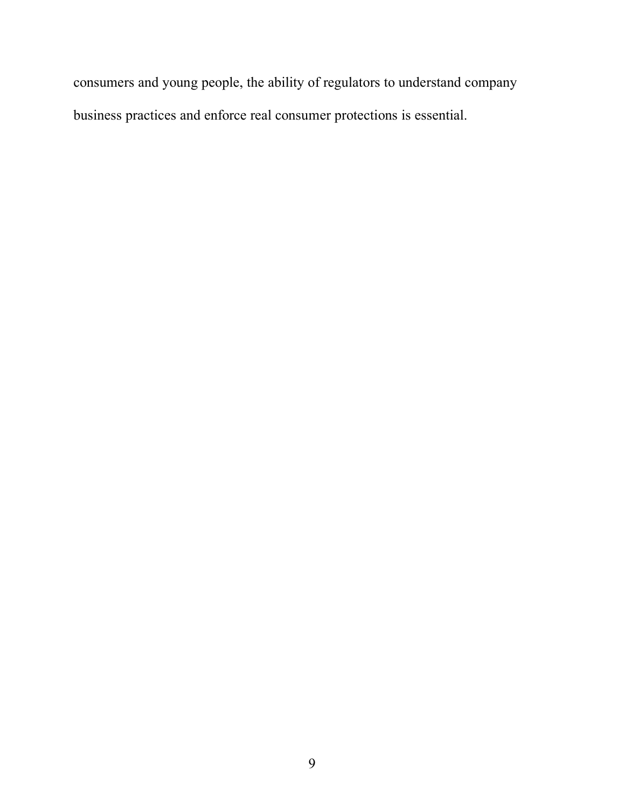consumers and young people, the ability of regulators to understand company business practices and enforce real consumer protections is essential.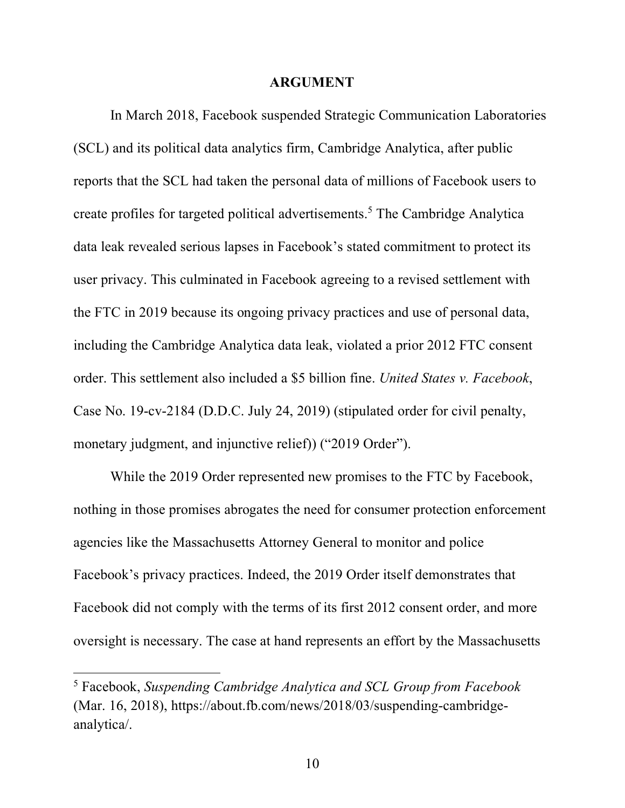#### **ARGUMENT**

In March 2018, Facebook suspended Strategic Communication Laboratories (SCL) and its political data analytics firm, Cambridge Analytica, after public reports that the SCL had taken the personal data of millions of Facebook users to create profiles for targeted political advertisements.5 The Cambridge Analytica data leak revealed serious lapses in Facebook's stated commitment to protect its user privacy. This culminated in Facebook agreeing to a revised settlement with the FTC in 2019 because its ongoing privacy practices and use of personal data, including the Cambridge Analytica data leak, violated a prior 2012 FTC consent order. This settlement also included a \$5 billion fine. *United States v. Facebook*, Case No. 19-cv-2184 (D.D.C. July 24, 2019) (stipulated order for civil penalty, monetary judgment, and injunctive relief) ("2019 Order").

While the 2019 Order represented new promises to the FTC by Facebook, nothing in those promises abrogates the need for consumer protection enforcement agencies like the Massachusetts Attorney General to monitor and police Facebook's privacy practices. Indeed, the 2019 Order itself demonstrates that Facebook did not comply with the terms of its first 2012 consent order, and more oversight is necessary. The case at hand represents an effort by the Massachusetts

<sup>5</sup> Facebook, *Suspending Cambridge Analytica and SCL Group from Facebook*  (Mar. 16, 2018), https://about.fb.com/news/2018/03/suspending-cambridgeanalytica/.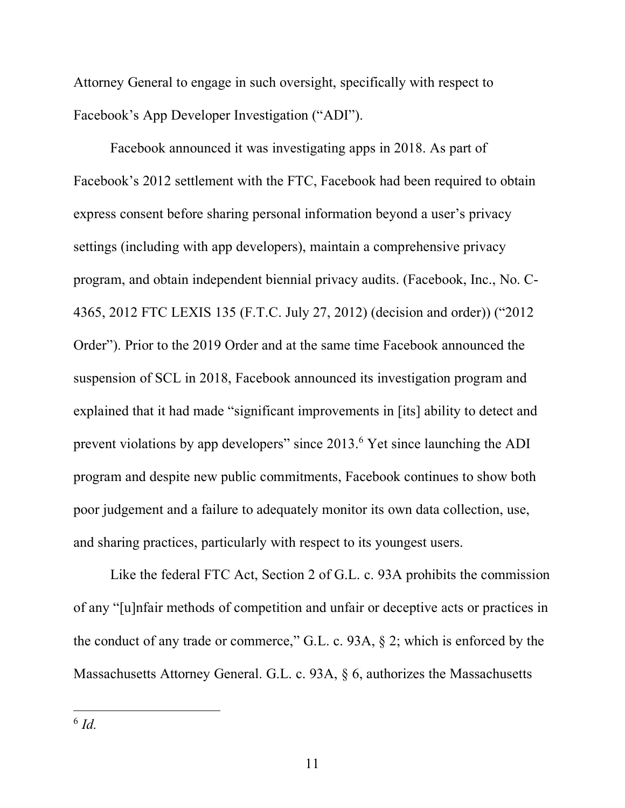Attorney General to engage in such oversight, specifically with respect to Facebook's App Developer Investigation ("ADI").

Facebook announced it was investigating apps in 2018. As part of Facebook's 2012 settlement with the FTC, Facebook had been required to obtain express consent before sharing personal information beyond a user's privacy settings (including with app developers), maintain a comprehensive privacy program, and obtain independent biennial privacy audits. (Facebook, Inc., No. C-4365, 2012 FTC LEXIS 135 (F.T.C. July 27, 2012) (decision and order)) ("2012 Order"). Prior to the 2019 Order and at the same time Facebook announced the suspension of SCL in 2018, Facebook announced its investigation program and explained that it had made "significant improvements in [its] ability to detect and prevent violations by app developers" since 2013.6 Yet since launching the ADI program and despite new public commitments, Facebook continues to show both poor judgement and a failure to adequately monitor its own data collection, use, and sharing practices, particularly with respect to its youngest users.

Like the federal FTC Act, Section 2 of G.L. c. 93A prohibits the commission of any "[u]nfair methods of competition and unfair or deceptive acts or practices in the conduct of any trade or commerce," G.L. c. 93A, § 2; which is enforced by the Massachusetts Attorney General. G.L. c. 93A, § 6, authorizes the Massachusetts

<sup>6</sup> *Id.*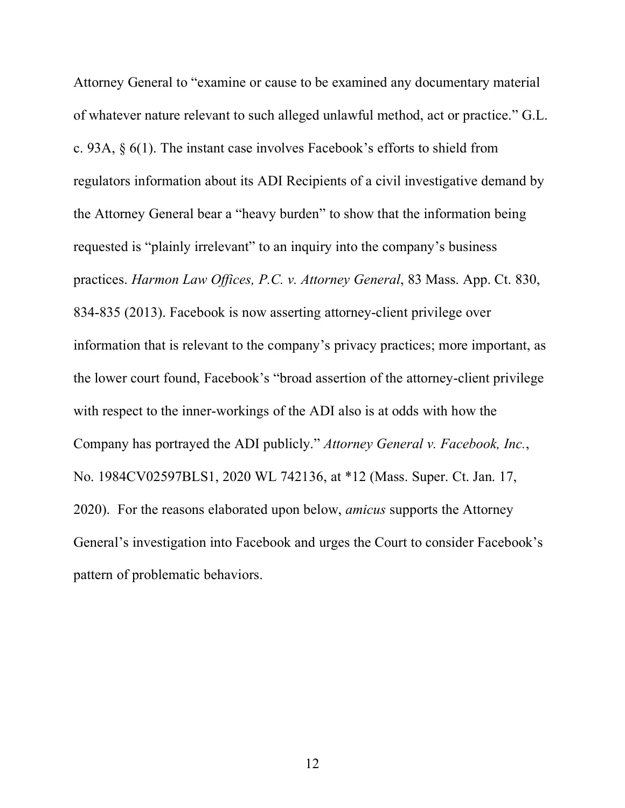Attorney General to "examine or cause to be examined any documentary material of whatever nature relevant to such alleged unlawful method, act or practice." G.L. c. 93A, § 6(1). The instant case involves Facebook's efforts to shield from regulators information about its ADI Recipients of a civil investigative demand by the Attorney General bear a "heavy burden" to show that the information being requested is "plainly irrelevant" to an inquiry into the company's business practices. *Harmon Law Offices, P.C. v. Attorney General*, 83 Mass. App. Ct. 830, 834-835 (2013). Facebook is now asserting attorney-client privilege over information that is relevant to the company's privacy practices; more important, as the lower court found, Facebook's "broad assertion of the attorney-client privilege with respect to the inner-workings of the ADI also is at odds with how the Company has portrayed the ADI publicly." *Attorney General v. Facebook, Inc.*, No. 1984CV02597BLS1, 2020 WL 742136, at \*12 (Mass. Super. Ct. Jan. 17, 2020). For the reasons elaborated upon below, *amicus* supports the Attorney General's investigation into Facebook and urges the Court to consider Facebook's pattern of problematic behaviors.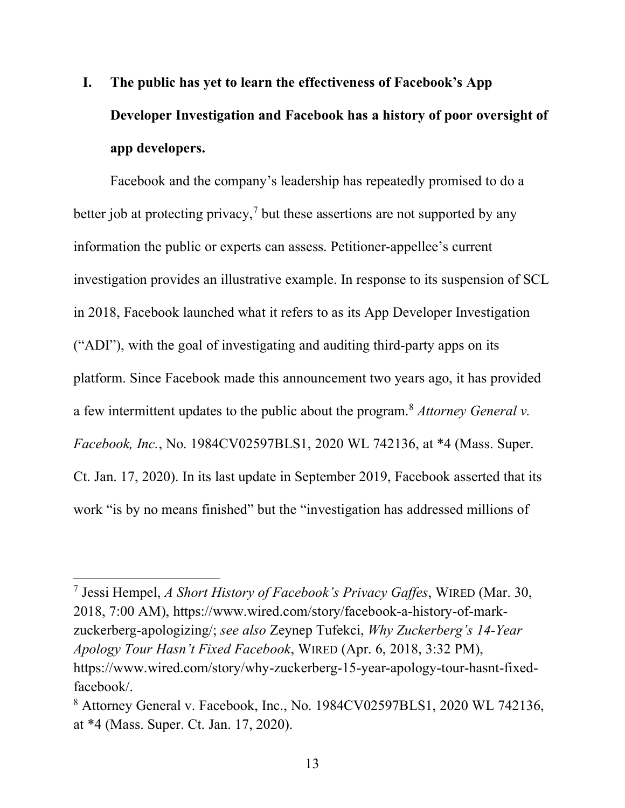**I. The public has yet to learn the effectiveness of Facebook's App Developer Investigation and Facebook has a history of poor oversight of app developers.**

Facebook and the company's leadership has repeatedly promised to do a better job at protecting privacy,<sup>7</sup> but these assertions are not supported by any information the public or experts can assess. Petitioner-appellee's current investigation provides an illustrative example. In response to its suspension of SCL in 2018, Facebook launched what it refers to as its App Developer Investigation ("ADI"), with the goal of investigating and auditing third-party apps on its platform. Since Facebook made this announcement two years ago, it has provided a few intermittent updates to the public about the program.8 *Attorney General v. Facebook, Inc.*, No. 1984CV02597BLS1, 2020 WL 742136, at \*4 (Mass. Super. Ct. Jan. 17, 2020). In its last update in September 2019, Facebook asserted that its work "is by no means finished" but the "investigation has addressed millions of

<sup>7</sup> Jessi Hempel, *A Short History of Facebook's Privacy Gaffes*, WIRED (Mar. 30, 2018, 7:00 AM), https://www.wired.com/story/facebook-a-history-of-markzuckerberg-apologizing/; *see also* Zeynep Tufekci, *Why Zuckerberg's 14-Year Apology Tour Hasn't Fixed Facebook*, WIRED (Apr. 6, 2018, 3:32 PM), https://www.wired.com/story/why-zuckerberg-15-year-apology-tour-hasnt-fixedfacebook/.

<sup>8</sup> Attorney General v. Facebook, Inc., No. 1984CV02597BLS1, 2020 WL 742136, at \*4 (Mass. Super. Ct. Jan. 17, 2020).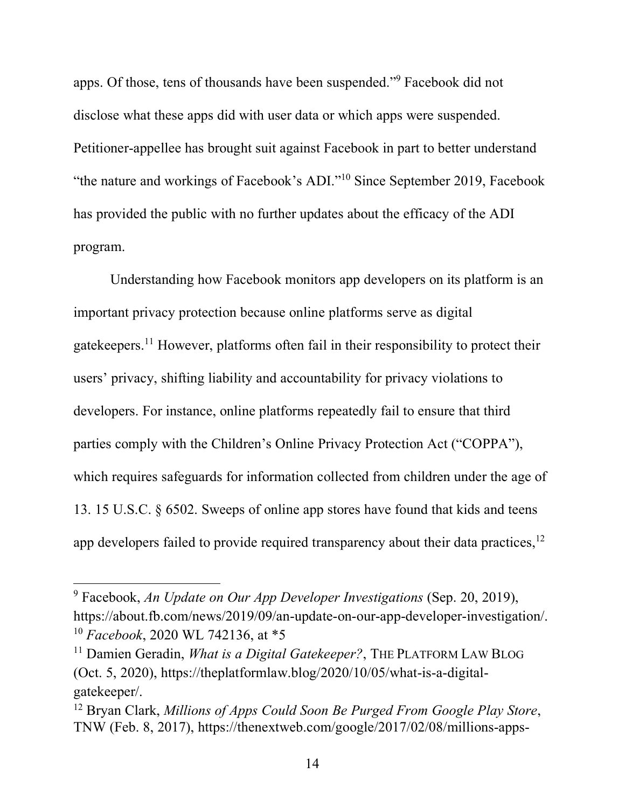apps. Of those, tens of thousands have been suspended."9 Facebook did not disclose what these apps did with user data or which apps were suspended. Petitioner-appellee has brought suit against Facebook in part to better understand "the nature and workings of Facebook's ADI."10 Since September 2019, Facebook has provided the public with no further updates about the efficacy of the ADI program.

Understanding how Facebook monitors app developers on its platform is an important privacy protection because online platforms serve as digital gatekeepers.11 However, platforms often fail in their responsibility to protect their users' privacy, shifting liability and accountability for privacy violations to developers. For instance, online platforms repeatedly fail to ensure that third parties comply with the Children's Online Privacy Protection Act ("COPPA"), which requires safeguards for information collected from children under the age of 13. 15 U.S.C. § 6502. Sweeps of online app stores have found that kids and teens app developers failed to provide required transparency about their data practices,<sup>12</sup>

<sup>9</sup> Facebook, *An Update on Our App Developer Investigations* (Sep. 20, 2019), https://about.fb.com/news/2019/09/an-update-on-our-app-developer-investigation/. <sup>10</sup> *Facebook*, 2020 WL 742136, at \*5

<sup>&</sup>lt;sup>11</sup> Damien Geradin, *What is a Digital Gatekeeper*?, THE PLATFORM LAW BLOG (Oct. 5, 2020), https://theplatformlaw.blog/2020/10/05/what-is-a-digitalgatekeeper/.

<sup>12</sup> Bryan Clark, *Millions of Apps Could Soon Be Purged From Google Play Store*, TNW (Feb. 8, 2017), https://thenextweb.com/google/2017/02/08/millions-apps-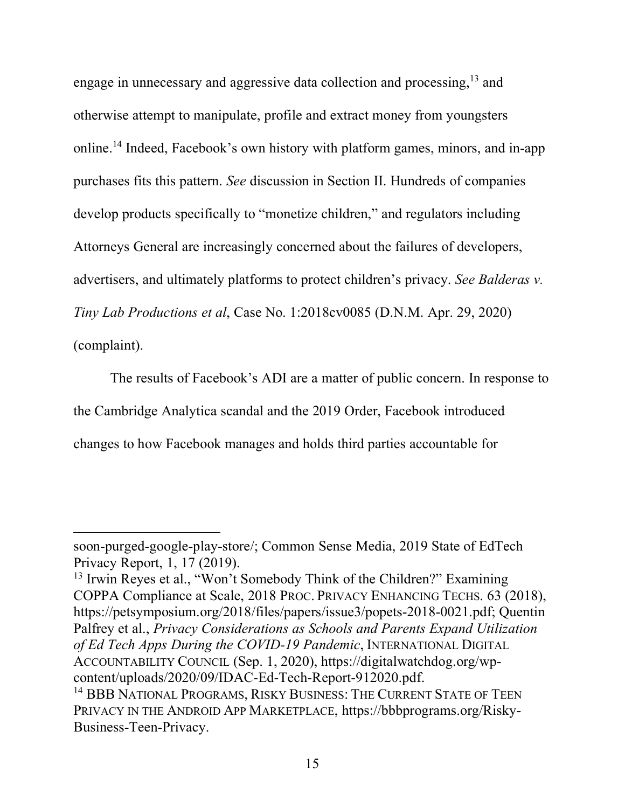engage in unnecessary and aggressive data collection and processing,13 and otherwise attempt to manipulate, profile and extract money from youngsters online.14 Indeed, Facebook's own history with platform games, minors, and in-app purchases fits this pattern. *See* discussion in Section II. Hundreds of companies develop products specifically to "monetize children," and regulators including Attorneys General are increasingly concerned about the failures of developers, advertisers, and ultimately platforms to protect children's privacy. *See Balderas v. Tiny Lab Productions et al*, Case No. 1:2018cv0085 (D.N.M. Apr. 29, 2020) (complaint).

The results of Facebook's ADI are a matter of public concern. In response to the Cambridge Analytica scandal and the 2019 Order, Facebook introduced changes to how Facebook manages and holds third parties accountable for

soon-purged-google-play-store/; Common Sense Media, 2019 State of EdTech Privacy Report, 1, 17 (2019).

<sup>&</sup>lt;sup>13</sup> Irwin Reyes et al., "Won't Somebody Think of the Children?" Examining COPPA Compliance at Scale, 2018 PROC. PRIVACY ENHANCING TECHS. 63 (2018), https://petsymposium.org/2018/files/papers/issue3/popets-2018-0021.pdf; Quentin Palfrey et al., *Privacy Considerations as Schools and Parents Expand Utilization of Ed Tech Apps During the COVID-19 Pandemic*, INTERNATIONAL DIGITAL ACCOUNTABILITY COUNCIL (Sep. 1, 2020), https://digitalwatchdog.org/wpcontent/uploads/2020/09/IDAC-Ed-Tech-Report-912020.pdf. <sup>14</sup> BBB NATIONAL PROGRAMS, RISKY BUSINESS: THE CURRENT STATE OF TEEN

PRIVACY IN THE ANDROID APP MARKETPLACE, https://bbbprograms.org/Risky-Business-Teen-Privacy.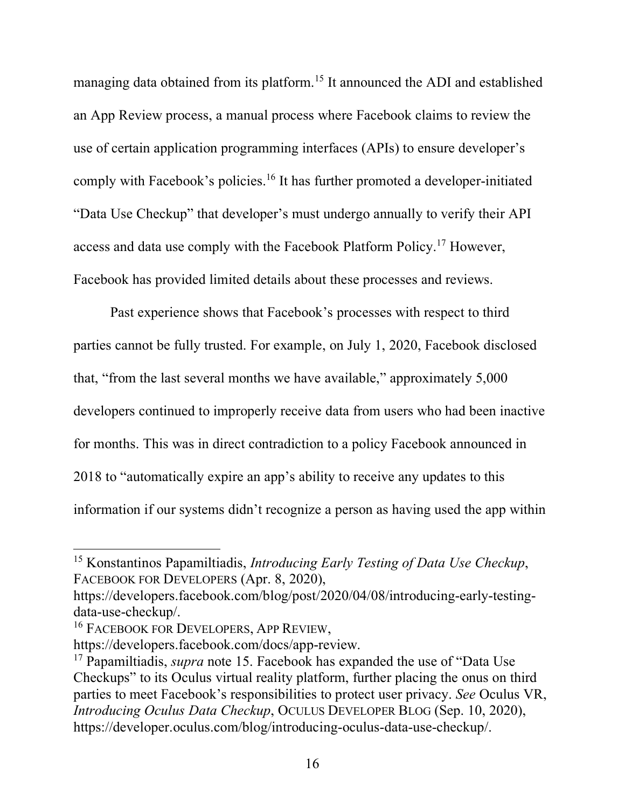managing data obtained from its platform.<sup>15</sup> It announced the ADI and established an App Review process, a manual process where Facebook claims to review the use of certain application programming interfaces (APIs) to ensure developer's comply with Facebook's policies.<sup>16</sup> It has further promoted a developer-initiated "Data Use Checkup" that developer's must undergo annually to verify their API access and data use comply with the Facebook Platform Policy.17 However, Facebook has provided limited details about these processes and reviews.

Past experience shows that Facebook's processes with respect to third parties cannot be fully trusted. For example, on July 1, 2020, Facebook disclosed that, "from the last several months we have available," approximately 5,000 developers continued to improperly receive data from users who had been inactive for months. This was in direct contradiction to a policy Facebook announced in 2018 to "automatically expire an app's ability to receive any updates to this information if our systems didn't recognize a person as having used the app within

<sup>15</sup> Konstantinos Papamiltiadis, *Introducing Early Testing of Data Use Checkup*, FACEBOOK FOR DEVELOPERS (Apr. 8, 2020),

https://developers.facebook.com/blog/post/2020/04/08/introducing-early-testingdata-use-checkup/.

<sup>&</sup>lt;sup>16</sup> FACEBOOK FOR DEVELOPERS, APP REVIEW,

https://developers.facebook.com/docs/app-review.

<sup>17</sup> Papamiltiadis, *supra* note 15. Facebook has expanded the use of "Data Use Checkups" to its Oculus virtual reality platform, further placing the onus on third parties to meet Facebook's responsibilities to protect user privacy. *See* Oculus VR, *Introducing Oculus Data Checkup*, OCULUS DEVELOPER BLOG (Sep. 10, 2020), https://developer.oculus.com/blog/introducing-oculus-data-use-checkup/.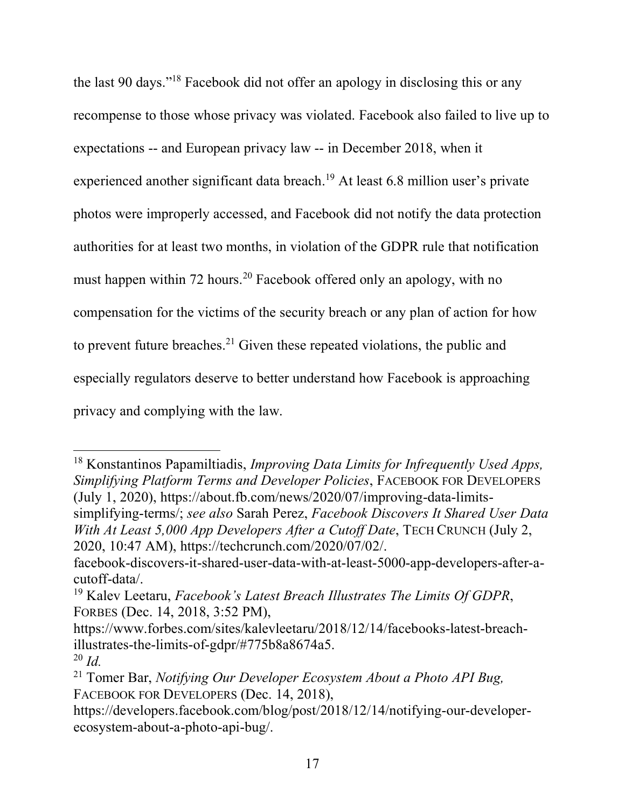the last 90 days."18 Facebook did not offer an apology in disclosing this or any recompense to those whose privacy was violated. Facebook also failed to live up to expectations -- and European privacy law -- in December 2018, when it experienced another significant data breach.19 At least 6.8 million user's private photos were improperly accessed, and Facebook did not notify the data protection authorities for at least two months, in violation of the GDPR rule that notification must happen within 72 hours.<sup>20</sup> Facebook offered only an apology, with no compensation for the victims of the security breach or any plan of action for how to prevent future breaches.<sup>21</sup> Given these repeated violations, the public and especially regulators deserve to better understand how Facebook is approaching privacy and complying with the law.

<sup>18</sup> Konstantinos Papamiltiadis, *Improving Data Limits for Infrequently Used Apps, Simplifying Platform Terms and Developer Policies*, FACEBOOK FOR DEVELOPERS (July 1, 2020), https://about.fb.com/news/2020/07/improving-data-limitssimplifying-terms/; *see also* Sarah Perez, *Facebook Discovers It Shared User Data With At Least 5,000 App Developers After a Cutoff Date*, TECH CRUNCH (July 2, 2020, 10:47 AM), https://techcrunch.com/2020/07/02/.

facebook-discovers-it-shared-user-data-with-at-least-5000-app-developers-after-acutoff-data/.

<sup>19</sup> Kalev Leetaru, *Facebook's Latest Breach Illustrates The Limits Of GDPR*, FORBES (Dec. 14, 2018, 3:52 PM),

https://www.forbes.com/sites/kalevleetaru/2018/12/14/facebooks-latest-breachillustrates-the-limits-of-gdpr/#775b8a8674a5.

<sup>20</sup> *Id.*

<sup>21</sup> Tomer Bar, *Notifying Our Developer Ecosystem About a Photo API Bug,* FACEBOOK FOR DEVELOPERS (Dec. 14, 2018),

https://developers.facebook.com/blog/post/2018/12/14/notifying-our-developerecosystem-about-a-photo-api-bug/.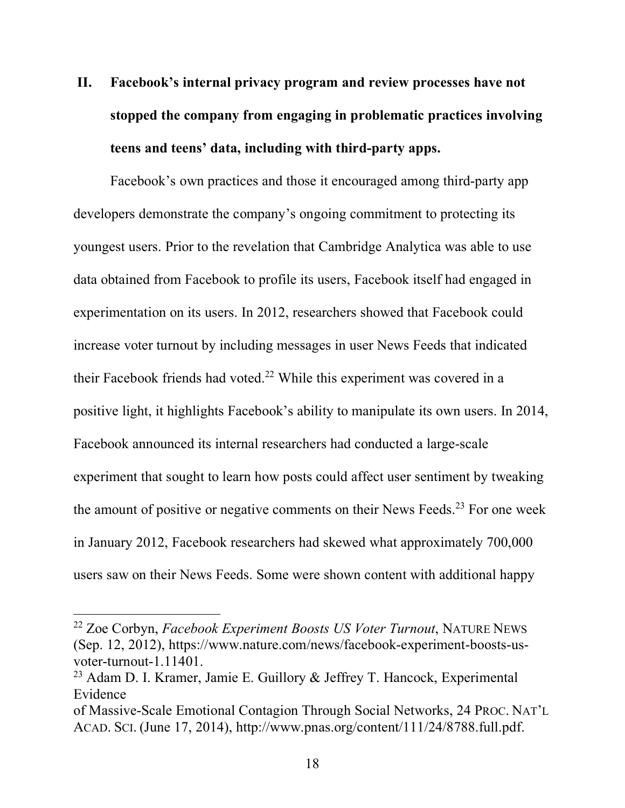# **II. Facebook's internal privacy program and review processes have not stopped the company from engaging in problematic practices involving teens and teens' data, including with third-party apps.**

Facebook's own practices and those it encouraged among third-party app developers demonstrate the company's ongoing commitment to protecting its youngest users. Prior to the revelation that Cambridge Analytica was able to use data obtained from Facebook to profile its users, Facebook itself had engaged in experimentation on its users. In 2012, researchers showed that Facebook could increase voter turnout by including messages in user News Feeds that indicated their Facebook friends had voted.<sup>22</sup> While this experiment was covered in a positive light, it highlights Facebook's ability to manipulate its own users. In 2014, Facebook announced its internal researchers had conducted a large-scale experiment that sought to learn how posts could affect user sentiment by tweaking the amount of positive or negative comments on their News Feeds.<sup>23</sup> For one week in January 2012, Facebook researchers had skewed what approximately 700,000 users saw on their News Feeds. Some were shown content with additional happy

<sup>22</sup> Zoe Corbyn, *Facebook Experiment Boosts US Voter Turnout*, NATURE NEWS (Sep. 12, 2012), https://www.nature.com/news/facebook-experiment-boosts-usvoter-turnout-1.11401.

<sup>&</sup>lt;sup>23</sup> Adam D. I. Kramer, Jamie E. Guillory  $\&$  Jeffrey T. Hancock, Experimental Evidence

of Massive-Scale Emotional Contagion Through Social Networks, 24 PROC. NAT'L ACAD. SCI. (June 17, 2014), http://www.pnas.org/content/111/24/8788.full.pdf.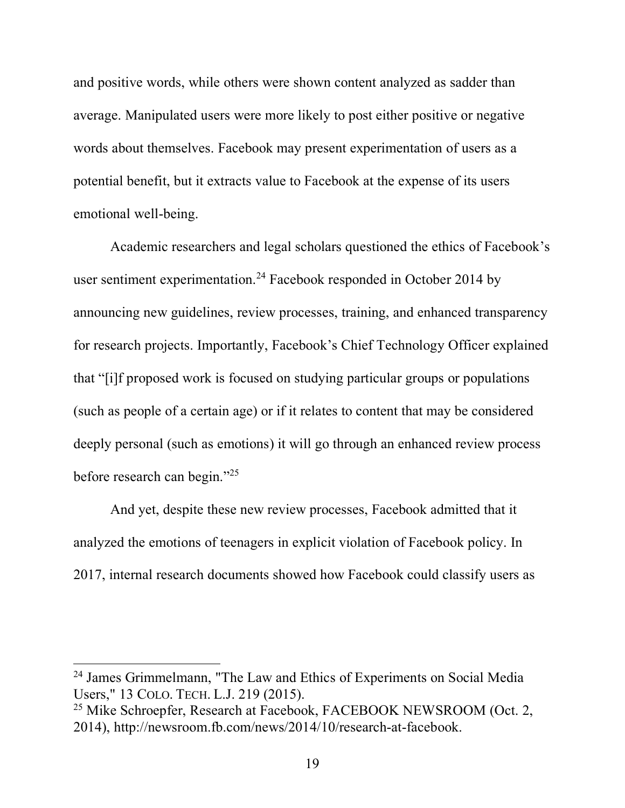and positive words, while others were shown content analyzed as sadder than average. Manipulated users were more likely to post either positive or negative words about themselves. Facebook may present experimentation of users as a potential benefit, but it extracts value to Facebook at the expense of its users emotional well-being.

Academic researchers and legal scholars questioned the ethics of Facebook's user sentiment experimentation.<sup>24</sup> Facebook responded in October 2014 by announcing new guidelines, review processes, training, and enhanced transparency for research projects. Importantly, Facebook's Chief Technology Officer explained that "[i]f proposed work is focused on studying particular groups or populations (such as people of a certain age) or if it relates to content that may be considered deeply personal (such as emotions) it will go through an enhanced review process before research can begin."25

And yet, despite these new review processes, Facebook admitted that it analyzed the emotions of teenagers in explicit violation of Facebook policy. In 2017, internal research documents showed how Facebook could classify users as

<sup>24</sup> James Grimmelmann, "The Law and Ethics of Experiments on Social Media Users," 13 COLO. TECH. L.J. 219 (2015).<br><sup>25</sup> Mike Schroepfer, Research at Facebook, FACEBOOK NEWSROOM (Oct. 2,

<sup>2014),</sup> http://newsroom.fb.com/news/2014/10/research-at-facebook.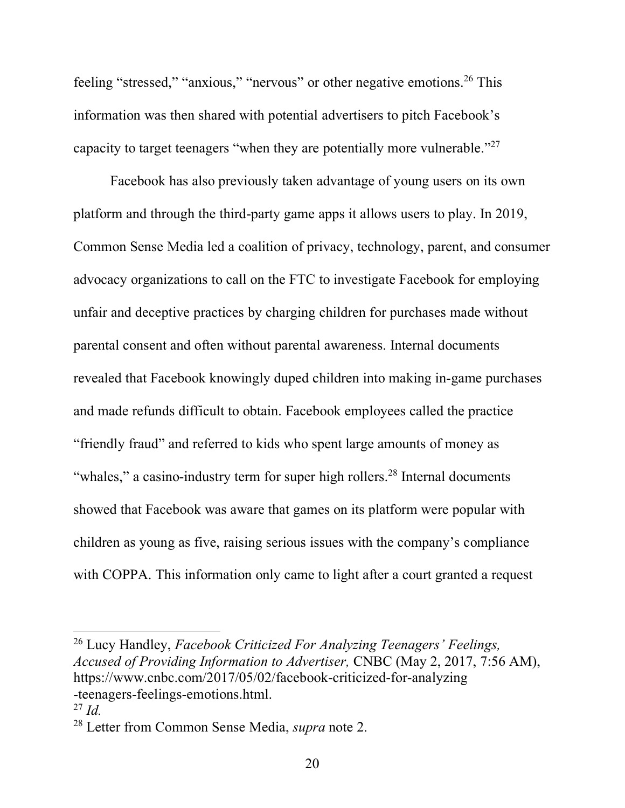feeling "stressed," "anxious," "nervous" or other negative emotions.<sup>26</sup> This information was then shared with potential advertisers to pitch Facebook's capacity to target teenagers "when they are potentially more vulnerable."27

Facebook has also previously taken advantage of young users on its own platform and through the third-party game apps it allows users to play. In 2019, Common Sense Media led a coalition of privacy, technology, parent, and consumer advocacy organizations to call on the FTC to investigate Facebook for employing unfair and deceptive practices by charging children for purchases made without parental consent and often without parental awareness. Internal documents revealed that Facebook knowingly duped children into making in-game purchases and made refunds difficult to obtain. Facebook employees called the practice "friendly fraud" and referred to kids who spent large amounts of money as "whales," a casino-industry term for super high rollers.<sup>28</sup> Internal documents showed that Facebook was aware that games on its platform were popular with children as young as five, raising serious issues with the company's compliance with COPPA. This information only came to light after a court granted a request

<sup>26</sup> Lucy Handley, *Facebook Criticized For Analyzing Teenagers' Feelings, Accused of Providing Information to Advertiser,* CNBC (May 2, 2017, 7:56 AM), https://www.cnbc.com/2017/05/02/facebook-criticized-for-analyzing -teenagers-feelings-emotions.html.

<sup>27</sup> *Id.*

<sup>28</sup> Letter from Common Sense Media, *supra* note 2.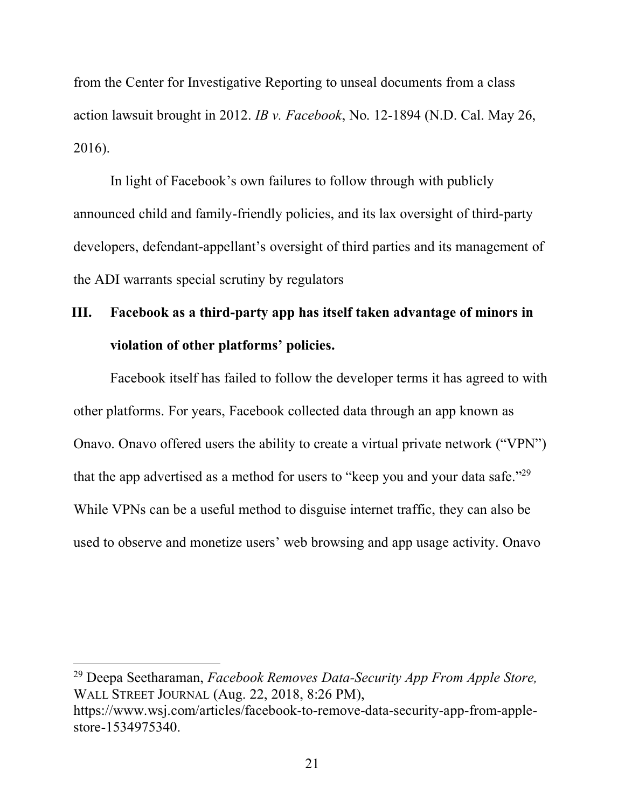from the Center for Investigative Reporting to unseal documents from a class action lawsuit brought in 2012. *IB v. Facebook*, No. 12-1894 (N.D. Cal. May 26, 2016).

In light of Facebook's own failures to follow through with publicly announced child and family-friendly policies, and its lax oversight of third-party developers, defendant-appellant's oversight of third parties and its management of the ADI warrants special scrutiny by regulators

## **III. Facebook as a third-party app has itself taken advantage of minors in violation of other platforms' policies.**

Facebook itself has failed to follow the developer terms it has agreed to with other platforms. For years, Facebook collected data through an app known as Onavo. Onavo offered users the ability to create a virtual private network ("VPN") that the app advertised as a method for users to "keep you and your data safe."<sup>29</sup> While VPNs can be a useful method to disguise internet traffic, they can also be used to observe and monetize users' web browsing and app usage activity. Onavo

<sup>29</sup> Deepa Seetharaman, *Facebook Removes Data-Security App From Apple Store,* WALL STREET JOURNAL (Aug. 22, 2018, 8:26 PM), https://www.wsj.com/articles/facebook-to-remove-data-security-app-from-applestore-1534975340.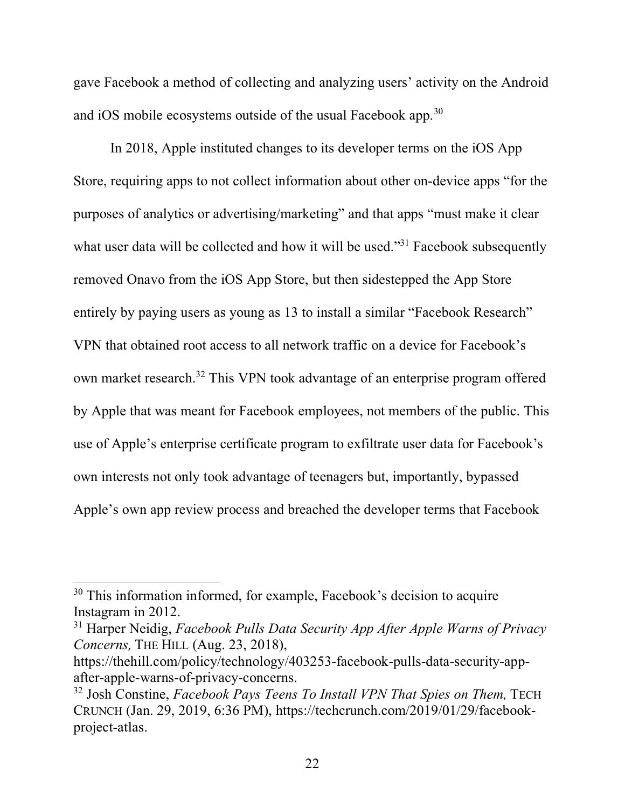gave Facebook a method of collecting and analyzing users' activity on the Android and iOS mobile ecosystems outside of the usual Facebook app.<sup>30</sup>

In 2018, Apple instituted changes to its developer terms on the iOS App Store, requiring apps to not collect information about other on-device apps "for the purposes of analytics or advertising/marketing" and that apps "must make it clear what user data will be collected and how it will be used."<sup>31</sup> Facebook subsequently removed Onavo from the iOS App Store, but then sidestepped the App Store entirely by paying users as young as 13 to install a similar "Facebook Research" VPN that obtained root access to all network traffic on a device for Facebook's own market research.32 This VPN took advantage of an enterprise program offered by Apple that was meant for Facebook employees, not members of the public. This use of Apple's enterprise certificate program to exfiltrate user data for Facebook's own interests not only took advantage of teenagers but, importantly, bypassed Apple's own app review process and breached the developer terms that Facebook

<sup>&</sup>lt;sup>30</sup> This information informed, for example, Facebook's decision to acquire Instagram in 2012.

<sup>31</sup> Harper Neidig, *Facebook Pulls Data Security App After Apple Warns of Privacy Concerns,* THE HILL (Aug. 23, 2018),

https://thehill.com/policy/technology/403253-facebook-pulls-data-security-appafter-apple-warns-of-privacy-concerns.

<sup>32</sup> Josh Constine, *Facebook Pays Teens To Install VPN That Spies on Them,* TECH CRUNCH (Jan. 29, 2019, 6:36 PM), https://techcrunch.com/2019/01/29/facebookproject-atlas.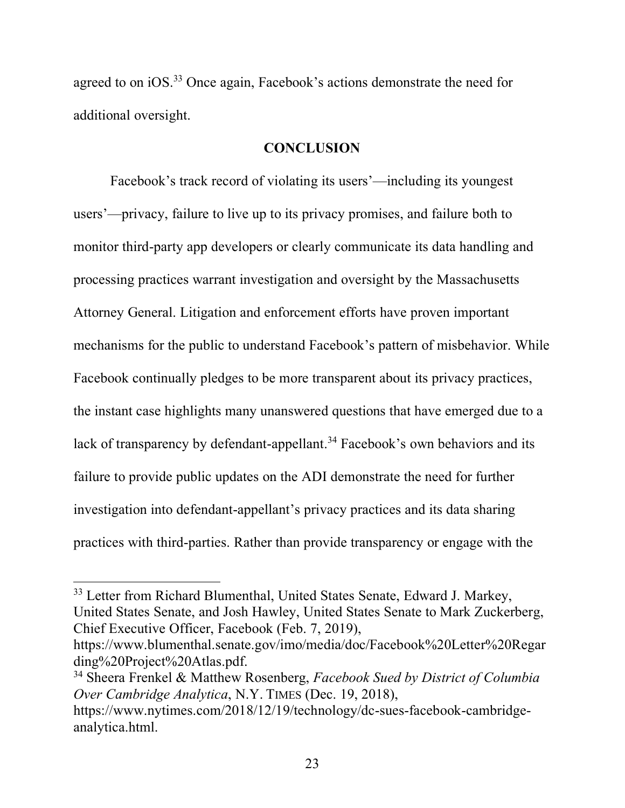agreed to on iOS.33 Once again, Facebook's actions demonstrate the need for additional oversight.

#### **CONCLUSION**

Facebook's track record of violating its users'—including its youngest users'—privacy, failure to live up to its privacy promises, and failure both to monitor third-party app developers or clearly communicate its data handling and processing practices warrant investigation and oversight by the Massachusetts Attorney General. Litigation and enforcement efforts have proven important mechanisms for the public to understand Facebook's pattern of misbehavior. While Facebook continually pledges to be more transparent about its privacy practices, the instant case highlights many unanswered questions that have emerged due to a lack of transparency by defendant-appellant.<sup>34</sup> Facebook's own behaviors and its failure to provide public updates on the ADI demonstrate the need for further investigation into defendant-appellant's privacy practices and its data sharing practices with third-parties. Rather than provide transparency or engage with the

<sup>&</sup>lt;sup>33</sup> Letter from Richard Blumenthal, United States Senate, Edward J. Markey, United States Senate, and Josh Hawley, United States Senate to Mark Zuckerberg, Chief Executive Officer, Facebook (Feb. 7, 2019),

https://www.blumenthal.senate.gov/imo/media/doc/Facebook%20Letter%20Regar ding%20Project%20Atlas.pdf.

<sup>34</sup> Sheera Frenkel & Matthew Rosenberg, *Facebook Sued by District of Columbia Over Cambridge Analytica*, N.Y. TIMES (Dec. 19, 2018),

https://www.nytimes.com/2018/12/19/technology/dc-sues-facebook-cambridgeanalytica.html.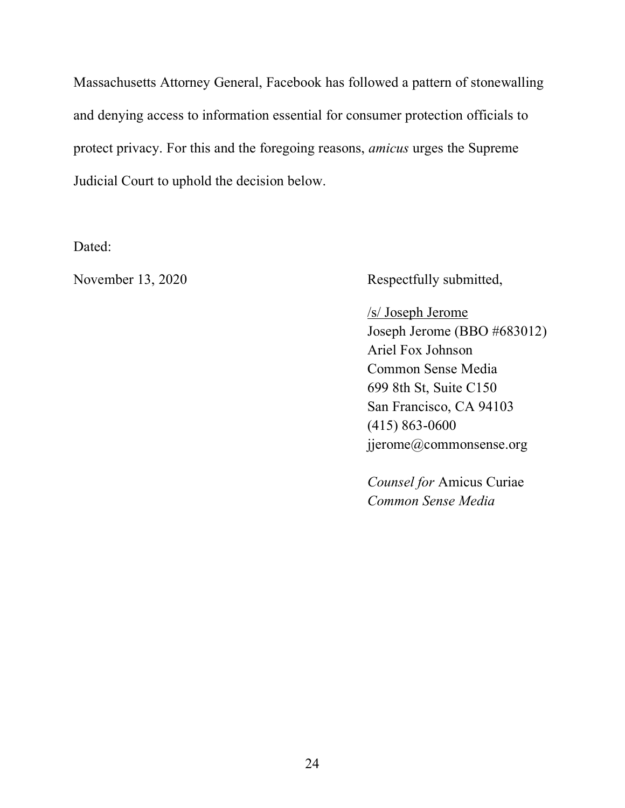Massachusetts Attorney General, Facebook has followed a pattern of stonewalling and denying access to information essential for consumer protection officials to protect privacy. For this and the foregoing reasons, *amicus* urges the Supreme Judicial Court to uphold the decision below.

Dated:

November 13, 2020 Respectfully submitted,

/s/ Joseph Jerome Joseph Jerome (BBO #683012) Ariel Fox Johnson Common Sense Media 699 8th St, Suite C150 San Francisco, CA 94103 (415) 863-0600 jjerome@commonsense.org

*Counsel for* Amicus Curiae *Common Sense Media*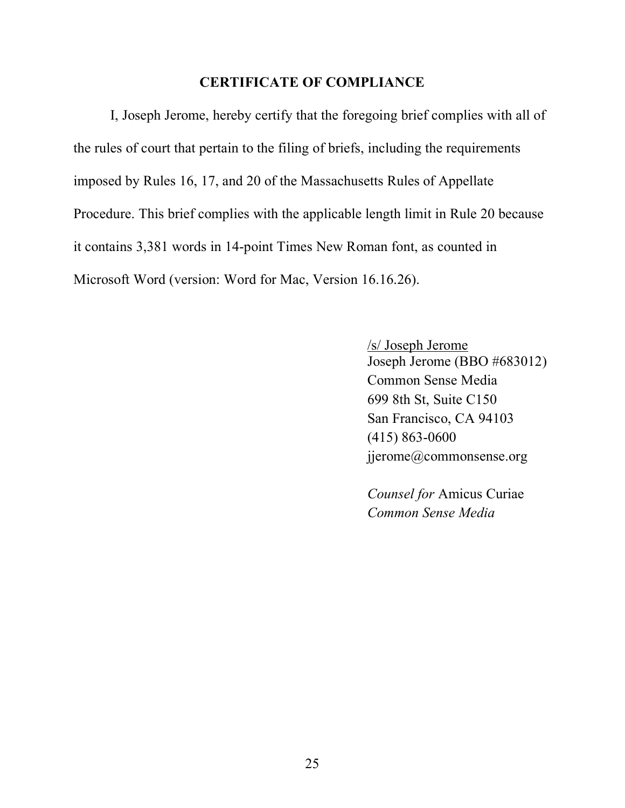#### **CERTIFICATE OF COMPLIANCE**

I, Joseph Jerome, hereby certify that the foregoing brief complies with all of the rules of court that pertain to the filing of briefs, including the requirements imposed by Rules 16, 17, and 20 of the Massachusetts Rules of Appellate Procedure. This brief complies with the applicable length limit in Rule 20 because it contains 3,381 words in 14-point Times New Roman font, as counted in Microsoft Word (version: Word for Mac, Version 16.16.26).

> /s/ Joseph Jerome Joseph Jerome (BBO #683012) Common Sense Media 699 8th St, Suite C150 San Francisco, CA 94103 (415) 863-0600 jjerome@commonsense.org

*Counsel for* Amicus Curiae *Common Sense Media*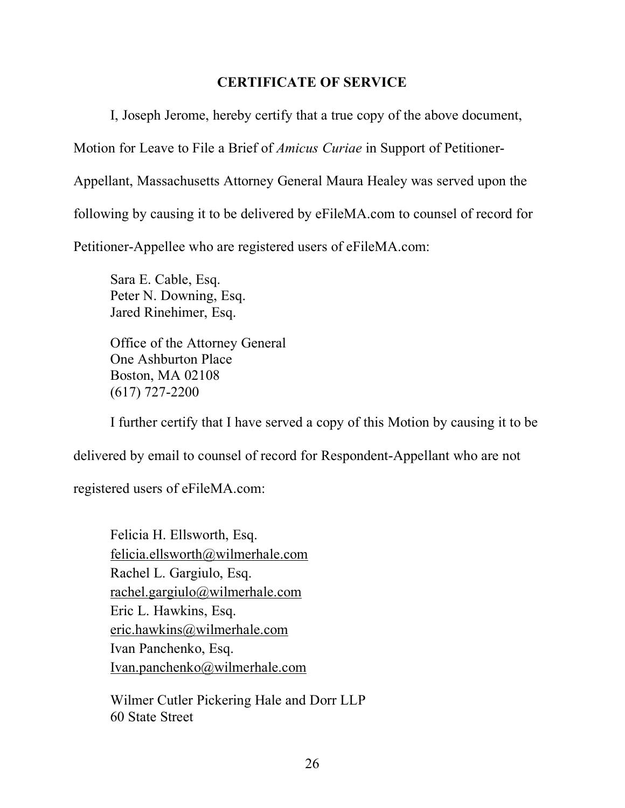## **CERTIFICATE OF SERVICE**

I, Joseph Jerome, hereby certify that a true copy of the above document, Motion for Leave to File a Brief of *Amicus Curiae* in Support of Petitioner-Appellant, Massachusetts Attorney General Maura Healey was served upon the following by causing it to be delivered by eFileMA.com to counsel of record for Petitioner-Appellee who are registered users of eFileMA.com:

Sara E. Cable, Esq. Peter N. Downing, Esq. Jared Rinehimer, Esq.

Office of the Attorney General One Ashburton Place Boston, MA 02108 (617) 727-2200

I further certify that I have served a copy of this Motion by causing it to be

delivered by email to counsel of record for Respondent-Appellant who are not

registered users of eFileMA.com:

Felicia H. Ellsworth, Esq. felicia.ellsworth@wilmerhale.com Rachel L. Gargiulo, Esq. rachel.gargiulo@wilmerhale.com Eric L. Hawkins, Esq. eric.hawkins@wilmerhale.com Ivan Panchenko, Esq. Ivan.panchenko@wilmerhale.com

Wilmer Cutler Pickering Hale and Dorr LLP 60 State Street